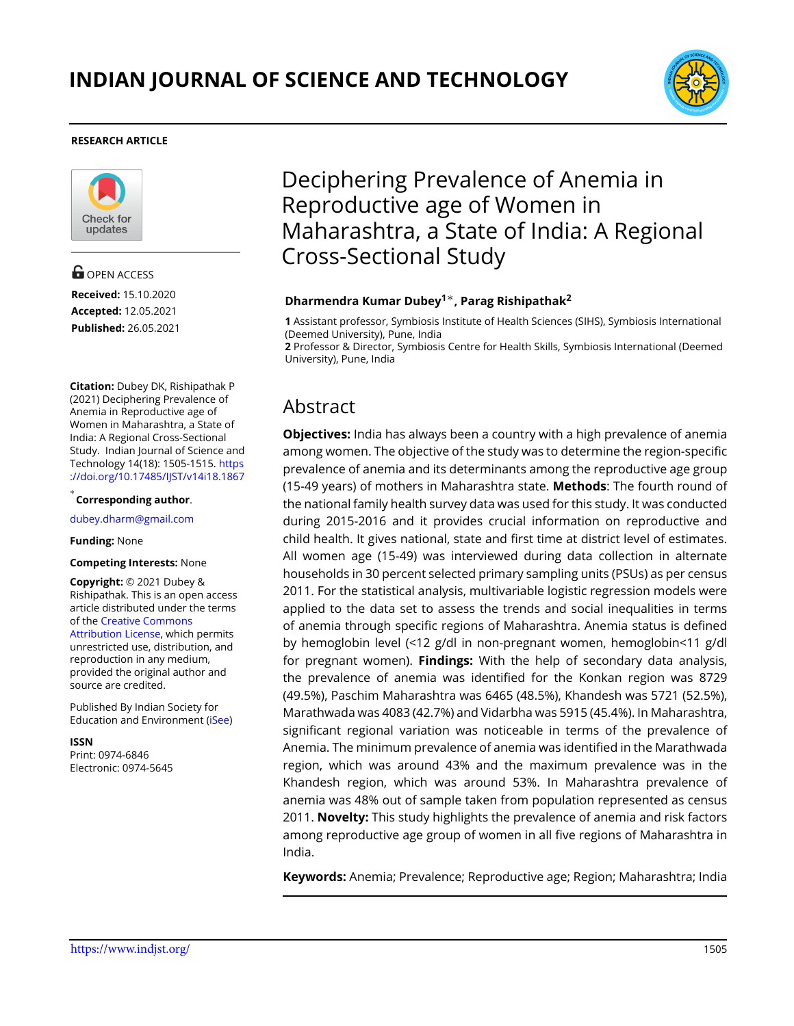

#### **RESEARCH ARTICLE**



**G** OPEN ACCESS **Received:** 15.10.2020 **Accepted:** 12.05.2021 **Published:** 26.05.2021

**Citation:** Dubey DK, Rishipathak P (2021) Deciphering Prevalence of Anemia in Reproductive age of Women in Maharashtra, a State of India: A Regional Cross-Sectional Study. Indian Journal of Science and Technology 14(18): 1505-1515. [https](https://doi.org/10.17485/IJST/v14i18.1867) [://doi.org/10.17485/IJST/v14i18.1867](https://doi.org/10.17485/IJST/v14i18.1867)

*∗* **Corresponding author**.

<dubey.dharm@gmail.com>

#### **Funding:** None

#### **Competing Interests:** None

**Copyright:** © 2021 Dubey & Rishipathak. This is an open access article distributed under the terms of the [Creative Commons](https://creativecommons.org/licenses/by/4.0/) [Attribution License,](https://creativecommons.org/licenses/by/4.0/) which permits unrestricted use, distribution, and reproduction in any medium, provided the original author and source are credited.

Published By Indian Society for Education and Environment([iSee\)](www.iseeadyar.org.)

**ISSN**

Print: 0974-6846 Electronic: 0974-5645

# Deciphering Prevalence of Anemia in Reproductive age of Women in Maharashtra, a State of India: A Regional Cross-Sectional Study

#### **Dharmendra Kumar Dubey<sup>1</sup>***∗***, Parag Rishipathak<sup>2</sup>**

**1** Assistant professor, Symbiosis Institute of Health Sciences (SIHS), Symbiosis International (Deemed University), Pune, India

**2** Professor & Director, Symbiosis Centre for Health Skills, Symbiosis International (Deemed University), Pune, India

# Abstract

**Objectives:** India has always been a country with a high prevalence of anemia among women. The objective of the study was to determine the region-specific prevalence of anemia and its determinants among the reproductive age group (15-49 years) of mothers in Maharashtra state. **Methods**: The fourth round of the national family health survey data was used for this study. It was conducted during 2015-2016 and it provides crucial information on reproductive and child health. It gives national, state and first time at district level of estimates. All women age (15-49) was interviewed during data collection in alternate households in 30 percent selected primary sampling units (PSUs) as per census 2011. For the statistical analysis, multivariable logistic regression models were applied to the data set to assess the trends and social inequalities in terms of anemia through specific regions of Maharashtra. Anemia status is defined by hemoglobin level (<12 g/dl in non-pregnant women, hemoglobin<11 g/dl for pregnant women). **Findings:** With the help of secondary data analysis, the prevalence of anemia was identified for the Konkan region was 8729 (49.5%), Paschim Maharashtra was 6465 (48.5%), Khandesh was 5721 (52.5%), Marathwada was 4083 (42.7%) and Vidarbha was 5915 (45.4%). In Maharashtra, significant regional variation was noticeable in terms of the prevalence of Anemia. The minimum prevalence of anemia was identified in the Marathwada region, which was around 43% and the maximum prevalence was in the Khandesh region, which was around 53%. In Maharashtra prevalence of anemia was 48% out of sample taken from population represented as census 2011. **Novelty:** This study highlights the prevalence of anemia and risk factors among reproductive age group of women in all five regions of Maharashtra in India.

**Keywords:** Anemia; Prevalence; Reproductive age; Region; Maharashtra; India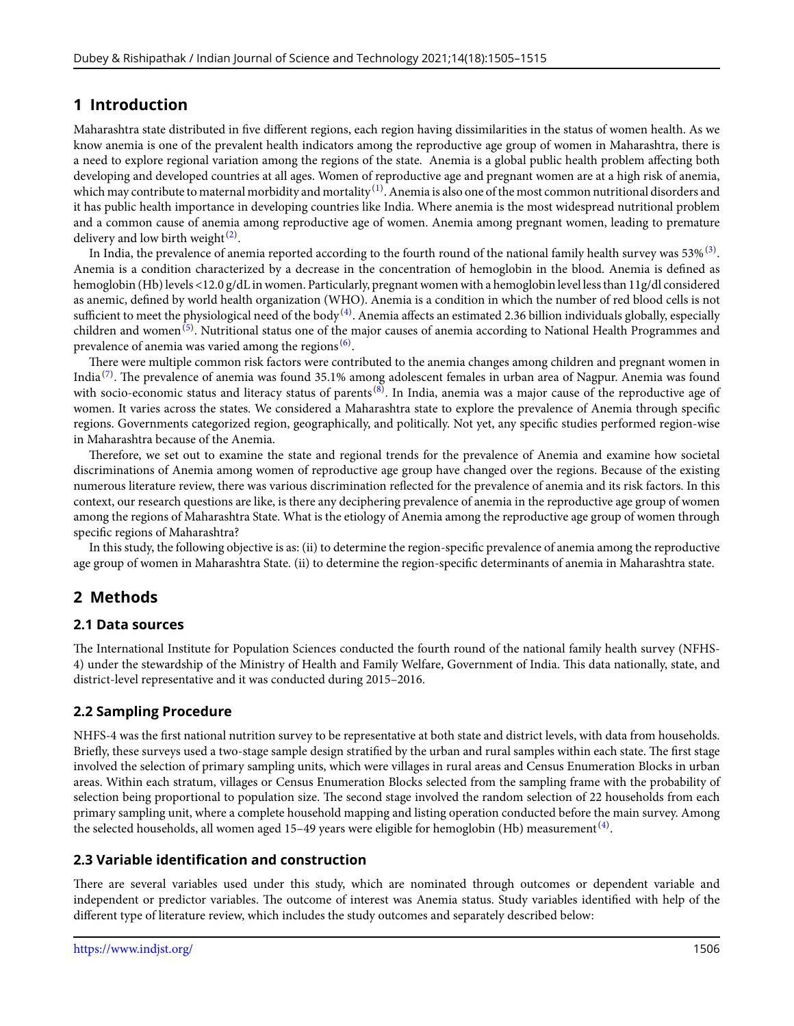## **1 Introduction**

Maharashtra state distributed in five different regions, each region having dissimilarities in the status of women health. As we know anemia is one of the prevalent health indicators among the reproductive age group of women in Maharashtra, there is a need to explore regional variation among the regions of the state. Anemia is a global public health problem affecting both developing and developed countries at all ages. Women of reproductive age and pregnant women are at a high risk of anemia, which may contribute to maternal morbidity and mortality  $^{(1)}$  $^{(1)}$  $^{(1)}$ . Anemia is also one of the most common nutritional disorders and it has public health importance in developing countries like India. Where anemia is the most widespread nutritional problem and a common cause of anemia among reproductive age of women. Anemia among pregnant women, leading to premature delivery and low birth weight $^{(2)}$  $^{(2)}$  $^{(2)}$ .

In India, the prevalence of anemia reported according to the fourth round of the national family health survey was 53%  $^{(3)}$  $^{(3)}$  $^{(3)}$ . Anemia is a condition characterized by a decrease in the concentration of hemoglobin in the blood. Anemia is defined as hemoglobin (Hb) levels <12.0 g/dL in women. Particularly, pregnant women with a hemoglobin level less than 11g/dl considered as anemic, defined by world health organization (WHO). Anemia is a condition in which the number of red blood cells is not sufficient to meet the physiological need of the body  $^{(4)}$  $^{(4)}$  $^{(4)}$ . Anemia affects an estimated 2.36 billion individuals globally, especially children and women<sup>[\(5\)](#page-9-4)</sup>. Nutritional status one of the major causes of anemia according to National Health Programmes and prevalence of anemia was varied among the regions  $^{(6)}$  $^{(6)}$  $^{(6)}$ .

There were multiple common risk factors were contributed to the anemia changes among children and pregnant women in India $^{(7)}$  $^{(7)}$  $^{(7)}$ . The prevalence of anemia was found 35.1% among adolescent females in urban area of Nagpur. Anemia was found with socio-economic status and literacy status of parents<sup>([8](#page-9-7))</sup>. In India, anemia was a major cause of the reproductive age of women. It varies across the states. We considered a Maharashtra state to explore the prevalence of Anemia through specific regions. Governments categorized region, geographically, and politically. Not yet, any specific studies performed region-wise in Maharashtra because of the Anemia.

Therefore, we set out to examine the state and regional trends for the prevalence of Anemia and examine how societal discriminations of Anemia among women of reproductive age group have changed over the regions. Because of the existing numerous literature review, there was various discrimination reflected for the prevalence of anemia and its risk factors. In this context, our research questions are like, is there any deciphering prevalence of anemia in the reproductive age group of women among the regions of Maharashtra State. What is the etiology of Anemia among the reproductive age group of women through specific regions of Maharashtra?

In this study, the following objective is as: (ii) to determine the region-specific prevalence of anemia among the reproductive age group of women in Maharashtra State. (ii) to determine the region-specific determinants of anemia in Maharashtra state.

# **2 Methods**

#### **2.1 Data sources**

The International Institute for Population Sciences conducted the fourth round of the national family health survey (NFHS-4) under the stewardship of the Ministry of Health and Family Welfare, Government of India. This data nationally, state, and district-level representative and it was conducted during 2015–2016.

## **2.2 Sampling Procedure**

NHFS-4 was the first national nutrition survey to be representative at both state and district levels, with data from households. Briefly, these surveys used a two-stage sample design stratified by the urban and rural samples within each state. The first stage involved the selection of primary sampling units, which were villages in rural areas and Census Enumeration Blocks in urban areas. Within each stratum, villages or Census Enumeration Blocks selected from the sampling frame with the probability of selection being proportional to population size. The second stage involved the random selection of 22 households from each primary sampling unit, where a complete household mapping and listing operation conducted before the main survey. Among the selected households, all women aged 15–[4](#page-9-3)9 years were eligible for hemoglobin (Hb) measurement  $^{(4)}$ .

#### **2.3 Variable identification and construction**

There are several variables used under this study, which are nominated through outcomes or dependent variable and independent or predictor variables. The outcome of interest was Anemia status. Study variables identified with help of the different type of literature review, which includes the study outcomes and separately described below: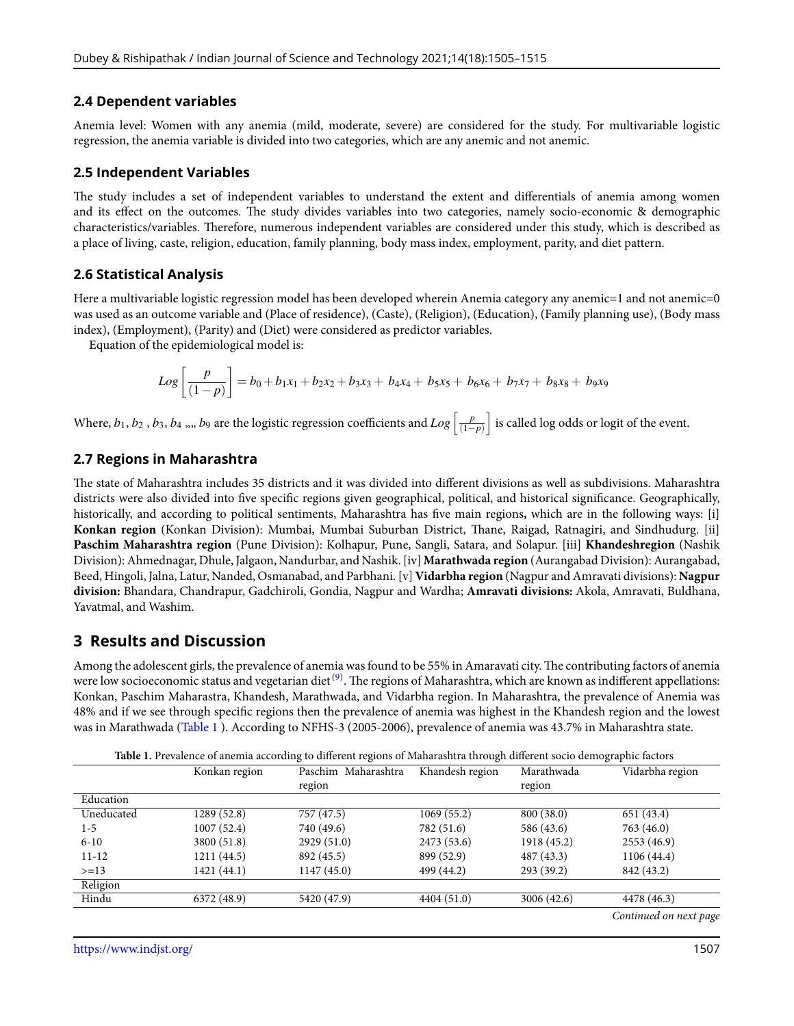#### **2.4 Dependent variables**

Anemia level: Women with any anemia (mild, moderate, severe) are considered for the study. For multivariable logistic regression, the anemia variable is divided into two categories, which are any anemic and not anemic.

#### **2.5 Independent Variables**

The study includes a set of independent variables to understand the extent and differentials of anemia among women and its effect on the outcomes. The study divides variables into two categories, namely socio-economic & demographic characteristics/variables. Therefore, numerous independent variables are considered under this study, which is described as a place of living, caste, religion, education, family planning, body mass index, employment, parity, and diet pattern.

#### **2.6 Statistical Analysis**

Here a multivariable logistic regression model has been developed wherein Anemia category any anemic=1 and not anemic=0 was used as an outcome variable and (Place of residence), (Caste), (Religion), (Education), (Family planning use), (Body mass index), (Employment), (Parity) and (Diet) were considered as predictor variables.

Equation of the epidemiological model is:

$$
Log\left[\frac{p}{(1-p)}\right] = b_0 + b_1x_1 + b_2x_2 + b_3x_3 + b_4x_4 + b_5x_5 + b_6x_6 + b_7x_7 + b_8x_8 + b_9x_9
$$

Where,  $b_1, b_2$  ,  $b_3, b_4$  ,,,  $b_9$  are the logistic regression coefficients and  $Log\left[ \frac{p}{(1-p)^2}\right]$ (1*−p*) ] is called log odds or logit of the event.

#### **2.7 Regions in Maharashtra**

The state of Maharashtra includes 35 districts and it was divided into different divisions as well as subdivisions. Maharashtra districts were also divided into five specific regions given geographical, political, and historical significance. Geographically, historically, and according to political sentiments, Maharashtra has five main regions**,** which are in the following ways: [i] **Konkan region** (Konkan Division): Mumbai, Mumbai Suburban District, Thane, Raigad, Ratnagiri, and Sindhudurg. [ii] **Paschim Maharashtra region** (Pune Division): Kolhapur, Pune, Sangli, Satara, and Solapur. [iii] **Khandeshregion** (Nashik Division): Ahmednagar, Dhule, Jalgaon, Nandurbar, and Nashik. [iv] **Marathwada region** (Aurangabad Division): Aurangabad, Beed, Hingoli, Jalna, Latur, Nanded, Osmanabad, and Parbhani. [v] **Vidarbha region** (Nagpur and Amravati divisions): **Nagpur division:** Bhandara, Chandrapur, Gadchiroli, Gondia, Nagpur and Wardha; **Amravati divisions:** Akola, Amravati, Buldhana, Yavatmal, and Washim.

## **3 Results and Discussion**

Among the adolescent girls, the prevalence of anemia was found to be 55% in Amaravati city. The contributing factors of anemia were low socioeconomic status and vegetarian diet <sup>([9](#page-9-8))</sup>. The regions of Maharashtra, which are known as indifferent appellations: Konkan, Paschim Maharastra, Khandesh, Marathwada, and Vidarbha region. In Maharashtra, the prevalence of Anemia was 48% and if we see through specific regions then the prevalence of anemia was highest in the Khandesh region and the lowest was in Marathwada (Table [1](#page-2-0) ). According to NFHS-3 (2005-2006), prevalence of anemia was 43.7% in Maharashtra state.

<span id="page-2-0"></span>

|            | Konkan region | Paschim Maharashtra | Khandesh region | Marathwada  | Vidarbha region        |
|------------|---------------|---------------------|-----------------|-------------|------------------------|
|            |               | region              |                 | region      |                        |
| Education  |               |                     |                 |             |                        |
| Uneducated | 1289 (52.8)   | 757 (47.5)          | 1069(55.2)      | 800 (38.0)  | 651 (43.4)             |
| $1-5$      | 1007(52.4)    | 740 (49.6)          | 782 (51.6)      | 586 (43.6)  | 763 (46.0)             |
| $6 - 10$   | 3800 (51.8)   | 2929 (51.0)         | 2473 (53.6)     | 1918 (45.2) | 2553(46.9)             |
| $11 - 12$  | 1211 (44.5)   | 892 (45.5)          | 899 (52.9)      | 487 (43.3)  | 1106 (44.4)            |
| $>=13$     | 1421 (44.1)   | 1147(45.0)          | 499 (44.2)      | 293 (39.2)  | 842 (43.2)             |
| Religion   |               |                     |                 |             |                        |
| Hindu      | 6372 (48.9)   | 5420 (47.9)         | 4404 (51.0)     | 3006 (42.6) | 4478 (46.3)            |
|            |               |                     |                 |             | Continued on next page |

**Table 1.** Prevalence of anemia according to different regions of Maharashtra through different socio demographic factors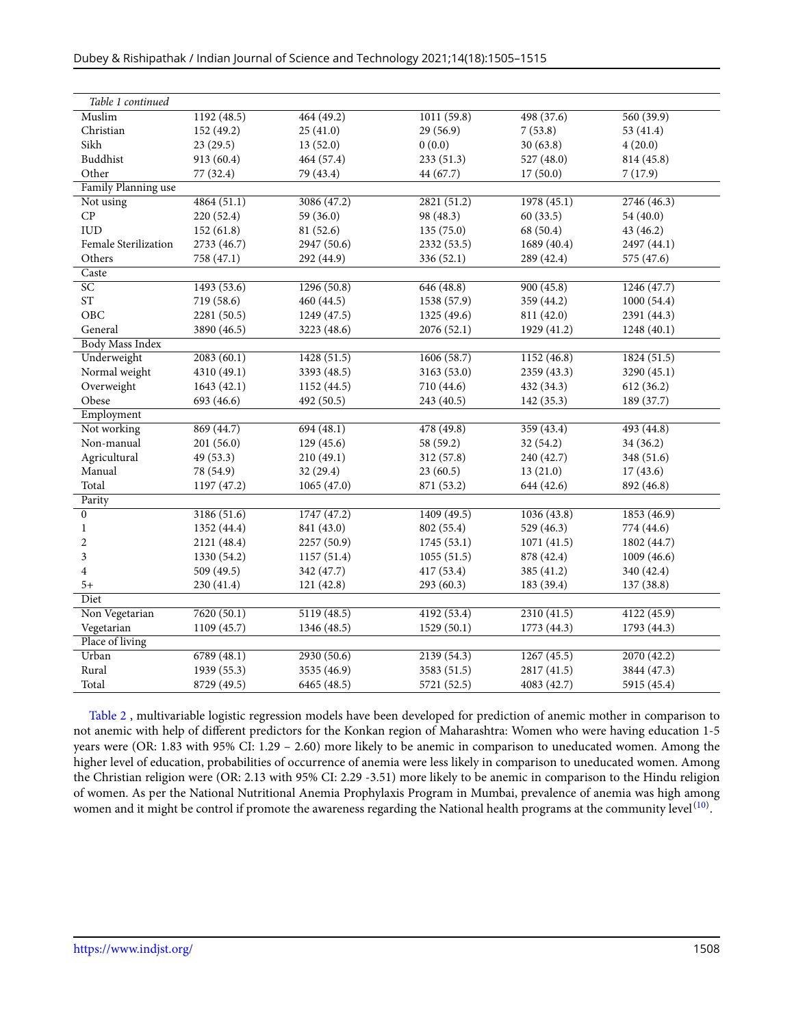| Table 1 continued      |             |             |             |             |             |  |  |  |
|------------------------|-------------|-------------|-------------|-------------|-------------|--|--|--|
| Muslim                 | 1192(48.5)  | 464(49.2)   | 1011(59.8)  | 498(37.6)   | 560(39.9)   |  |  |  |
| Christian              | 152 (49.2)  | 25(41.0)    | 29 (56.9)   | 7(53.8)     | 53 (41.4)   |  |  |  |
| Sikh                   | 23(29.5)    | 13(52.0)    | 0(0.0)      | 30(63.8)    | 4(20.0)     |  |  |  |
| Buddhist               | 913 (60.4)  | 464 (57.4)  | 233 (51.3)  | 527 (48.0)  | 814 (45.8)  |  |  |  |
| Other                  | 77 (32.4)   | 79 (43.4)   | 44 (67.7)   | 17(50.0)    | 7(17.9)     |  |  |  |
| Family Planning use    |             |             |             |             |             |  |  |  |
| Not using              | 4864(51.1)  | 3086(47.2)  | 2821(51.2)  | 1978(45.1)  | 2746(46.3)  |  |  |  |
| CP                     | 220(52.4)   | 59 (36.0)   | 98 (48.3)   | 60(33.5)    | 54 (40.0)   |  |  |  |
| <b>IUD</b>             | 152(61.8)   | 81 (52.6)   | 135(75.0)   | 68 (50.4)   | 43 (46.2)   |  |  |  |
| Female Sterilization   | 2733 (46.7) | 2947 (50.6) | 2332 (53.5) | 1689 (40.4) | 2497 (44.1) |  |  |  |
| Others                 | 758 (47.1)  | 292 (44.9)  | 336 (52.1)  | 289 (42.4)  | 575 (47.6)  |  |  |  |
| Caste                  |             |             |             |             |             |  |  |  |
| SC                     | 1493(53.6)  | 1296(50.8)  | 646(48.8)   | 900(45.8)   | 1246(47.7)  |  |  |  |
| $\operatorname{ST}$    | 719 (58.6)  | 460 (44.5)  | 1538 (57.9) | 359 (44.2)  | 1000(54.4)  |  |  |  |
| OBC                    | 2281 (50.5) | 1249 (47.5) | 1325 (49.6) | 811 (42.0)  | 2391 (44.3) |  |  |  |
| General                | 3890 (46.5) | 3223 (48.6) | 2076 (52.1) | 1929 (41.2) | 1248 (40.1) |  |  |  |
| <b>Body Mass Index</b> |             |             |             |             |             |  |  |  |
| Underweight            | 2083(60.1)  | 1428 (51.5) | 1606(58.7)  | 1152 (46.8) | 1824 (51.5) |  |  |  |
| Normal weight          | 4310 (49.1) | 3393 (48.5) | 3163 (53.0) | 2359 (43.3) | 3290 (45.1) |  |  |  |
| Overweight             | 1643(42.1)  | 1152 (44.5) | 710 (44.6)  | 432 (34.3)  | 612 (36.2)  |  |  |  |
| Obese                  | 693 (46.6)  | 492 (50.5)  | 243 (40.5)  | 142 (35.3)  | 189 (37.7)  |  |  |  |
| Employment             |             |             |             |             |             |  |  |  |
| Not working            | 869(44.7)   | 694(48.1)   | 478 (49.8)  | 359(43.4)   | 493 (44.8)  |  |  |  |
| Non-manual             | 201(56.0)   | 129(45.6)   | 58 (59.2)   | 32 (54.2)   | 34 (36.2)   |  |  |  |
| Agricultural           | 49(53.3)    | 210(49.1)   | 312 (57.8)  | 240 (42.7)  | 348 (51.6)  |  |  |  |
| Manual                 | 78 (54.9)   | 32 (29.4)   | 23(60.5)    | 13(21.0)    | 17(43.6)    |  |  |  |
| Total                  | 1197 (47.2) | 1065(47.0)  | 871 (53.2)  | 644 (42.6)  | 892 (46.8)  |  |  |  |
| Parity                 |             |             |             |             |             |  |  |  |
| $\overline{0}$         | 3186(51.6)  | 1747(47.2)  | 1409(49.5)  | 1036(43.8)  | 1853(46.9)  |  |  |  |
| 1                      | 1352 (44.4) | 841 (43.0)  | 802 (55.4)  | 529 (46.3)  | 774 (44.6)  |  |  |  |
| 2                      | 2121 (48.4) | 2257 (50.9) | 1745 (53.1) | 1071(41.5)  | 1802 (44.7) |  |  |  |
| 3                      | 1330 (54.2) | 1157(51.4)  | 1055(51.5)  | 878 (42.4)  | 1009(46.6)  |  |  |  |
| $\overline{4}$         | 509 (49.5)  | 342 (47.7)  | 417 (53.4)  | 385 (41.2)  | 340 (42.4)  |  |  |  |
| $5+$                   | 230 (41.4)  | 121(42.8)   | 293(60.3)   | 183 (39.4)  | 137 (38.8)  |  |  |  |
| Diet                   |             |             |             |             |             |  |  |  |
| Non Vegetarian         | 7620(50.1)  | 5119(48.5)  | 4192(53.4)  | 2310(41.5)  | 4122(45.9)  |  |  |  |
| Vegetarian             | 1109 (45.7) | 1346 (48.5) | 1529 (50.1) | 1773 (44.3) | 1793 (44.3) |  |  |  |
| Place of living        |             |             |             |             |             |  |  |  |
| Urban                  | 6789(48.1)  | 2930(50.6)  | 2139(54.3)  | 1267(45.5)  | 2070(42.2)  |  |  |  |
| Rural                  | 1939 (55.3) | 3535 (46.9) | 3583 (51.5) | 2817 (41.5) | 3844 (47.3) |  |  |  |
| Total                  | 8729 (49.5) | 6465 (48.5) | 5721 (52.5) | 4083 (42.7) | 5915 (45.4) |  |  |  |

Table [2](#page-4-0) , multivariable logistic regression models have been developed for prediction of anemic mother in comparison to not anemic with help of different predictors for the Konkan region of Maharashtra: Women who were having education 1-5 years were (OR: 1.83 with 95% CI: 1.29 – 2.60) more likely to be anemic in comparison to uneducated women. Among the higher level of education, probabilities of occurrence of anemia were less likely in comparison to uneducated women. Among the Christian religion were (OR: 2.13 with 95% CI: 2.29 -3.51) more likely to be anemic in comparison to the Hindu religion of women. As per the National Nutritional Anemia Prophylaxis Program in Mumbai, prevalence of anemia was high among women and it might be control if promote the awareness regarding the National health programs at the community level $^{(10)}$  $^{(10)}$  $^{(10)}$ .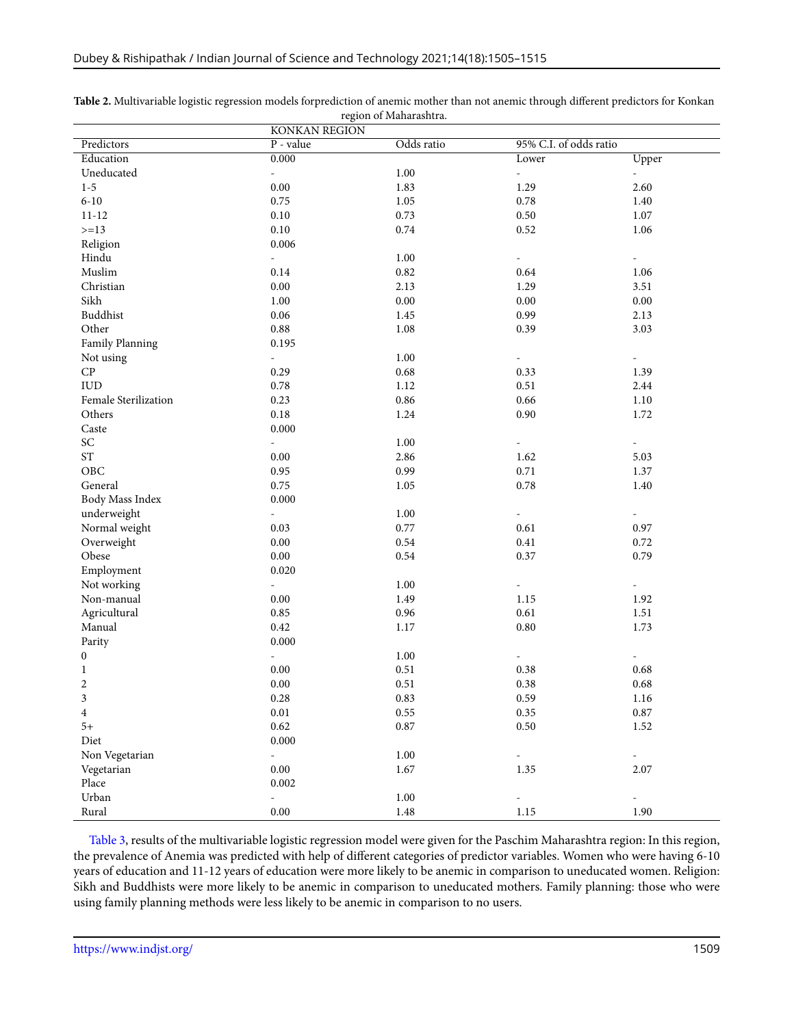|                         | <b>KONKAN REGION</b>      |            |                              |                             |
|-------------------------|---------------------------|------------|------------------------------|-----------------------------|
| Predictors              | Odds ratio<br>$P$ - value |            | 95% C.I. of odds ratio       |                             |
| Education               | 0.000                     |            | Lower                        | Upper                       |
| Uneducated              | ÷,                        | 1.00       | $\overline{\phantom{a}}$     | $\omega_{\rm c}$            |
| $1 - 5$                 | 0.00                      | 1.83       | 1.29                         | 2.60                        |
| $6 - 10$                | 0.75                      | 1.05       | 0.78                         | 1.40                        |
| $11 - 12$               | 0.10                      | 0.73       | $0.50\,$                     | 1.07                        |
| $>=13$                  | $0.10\,$                  | 0.74       | $0.52\,$                     | 1.06                        |
| Religion                | 0.006                     |            |                              |                             |
| Hindu                   | $\overline{\phantom{a}}$  | 1.00       | $\blacksquare$               | $\sim$                      |
| Muslim                  | 0.14                      | $\rm 0.82$ | 0.64                         | 1.06                        |
| Christian               | 0.00                      | 2.13       | 1.29                         | 3.51                        |
| Sikh                    | $1.00\,$                  | $0.00\,$   | $0.00\,$                     | $0.00\,$                    |
| Buddhist                | 0.06                      | 1.45       | 0.99                         | 2.13                        |
| Other                   | 0.88                      | 1.08       | 0.39                         | 3.03                        |
| Family Planning         | 0.195                     |            |                              |                             |
| Not using               | $\blacksquare$            | 1.00       | $\qquad \qquad \blacksquare$ | $\overline{\phantom{a}}$    |
| ${\cal CP}$             | 0.29                      | $0.68\,$   | 0.33                         | 1.39                        |
| ${\rm IUD}$             | 0.78                      | 1.12       | 0.51                         | 2.44                        |
| Female Sterilization    | 0.23                      | 0.86       | 0.66                         | 1.10                        |
| Others                  | $0.18\,$                  | 1.24       | 0.90                         | 1.72                        |
| Caste                   | 0.000                     |            |                              |                             |
| SC                      | ÷,                        | 1.00       | $\qquad \qquad \blacksquare$ | $\blacksquare$              |
| $\operatorname{ST}$     | 0.00                      | 2.86       | 1.62                         | 5.03                        |
| OBC                     | 0.95                      | 0.99       | 0.71                         | 1.37                        |
| General                 | 0.75                      | 1.05       | 0.78                         | 1.40                        |
| Body Mass Index         | 0.000                     |            |                              |                             |
| underweight             | ÷,                        | 1.00       | $\frac{1}{2}$                | $\overline{\phantom{a}}$    |
| Normal weight           | 0.03                      | 0.77       | 0.61                         | 0.97                        |
| Overweight              | $0.00\,$                  | 0.54       | $0.41\,$                     | 0.72                        |
| Obese                   | $0.00\,$                  | 0.54       | 0.37                         | 0.79                        |
| Employment              | 0.020                     |            |                              |                             |
| Not working             | $\overline{\phantom{a}}$  | 1.00       | $\overline{\phantom{a}}$     | $\sim$                      |
| Non-manual              | $0.00\,$                  | 1.49       | 1.15                         | 1.92                        |
| Agricultural            | 0.85                      | 0.96       | 0.61                         | 1.51                        |
| Manual                  | 0.42                      | 1.17       | $0.80\,$                     | 1.73                        |
| Parity                  | 0.000                     |            |                              |                             |
| $\boldsymbol{0}$        | ÷,                        | 1.00       | $\overline{\phantom{a}}$     | $\equiv$                    |
| $\mathbf{1}$            | $0.00\,$                  | 0.51       | 0.38                         | 0.68                        |
| $\overline{c}$          | 0.00                      | 0.51       | 0.38                         | 0.68                        |
| 3                       | $0.28\,$                  | 0.83       | 0.59                         | 1.16                        |
| $\overline{\mathbf{4}}$ | $0.01\,$                  | $0.55\,$   | $0.35\,$                     | $0.87\,$                    |
| $5+$                    | 0.62                      | 0.87       | $0.50\,$                     | 1.52                        |
| Diet                    | 0.000                     |            |                              |                             |
| Non Vegetarian          | ÷,                        | $1.00\,$   | $\frac{1}{2}$                | $\mathcal{L}_{\mathcal{A}}$ |
| Vegetarian              | $0.00\,$                  | 1.67       | 1.35                         | 2.07                        |
| Place                   | 0.002                     |            |                              |                             |
| Urban                   | ÷,                        | $1.00\,$   | $\frac{1}{2}$                | $\overline{\phantom{0}}$    |
| Rural                   | $0.00\,$                  | $1.48\,$   | 1.15                         | 1.90                        |

<span id="page-4-0"></span>

| Table 2. Multivariable logistic regression models forprediction of anemic mother than not anemic through different predictors for Konkan |
|------------------------------------------------------------------------------------------------------------------------------------------|
| region of Maharashtra.                                                                                                                   |

<span id="page-4-1"></span>Table [3,](#page-4-1) results of the multivariable logistic regression model were given for the Paschim Maharashtra region: In this region, the prevalence of Anemia was predicted with help of different categories of predictor variables. Women who were having 6-10 years of education and 11-12 years of education were more likely to be anemic in comparison to uneducated women. Religion: Sikh and Buddhists were more likely to be anemic in comparison to uneducated mothers. Family planning: those who were using family planning methods were less likely to be anemic in comparison to no users.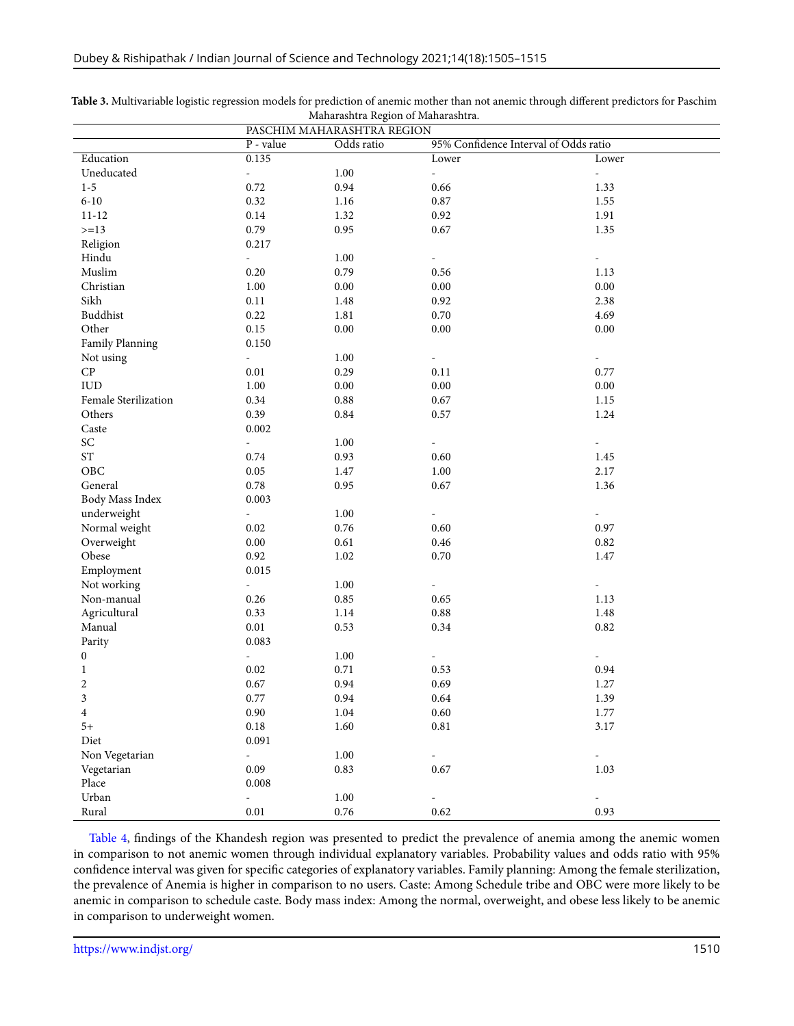|                          | PASCHIM MAHARASHTRA REGION |            |                                       |                          |
|--------------------------|----------------------------|------------|---------------------------------------|--------------------------|
|                          | $P$ - value                | Odds ratio | 95% Confidence Interval of Odds ratio |                          |
| Education                | 0.135                      |            | Lower                                 | Lower                    |
| Uneducated               | $\omega$                   | $1.00\,$   | $\Box$                                | $\Box$                   |
| $1 - 5$                  | 0.72                       | 0.94       | 0.66                                  | 1.33                     |
| $6 - 10$                 | 0.32                       | 1.16       | $0.87\,$                              | 1.55                     |
| $11 - 12$                | $0.14\,$                   | 1.32       | 0.92                                  | 1.91                     |
| $>=13$                   | 0.79                       | 0.95       | 0.67                                  | 1.35                     |
| Religion                 | 0.217                      |            |                                       |                          |
| Hindu                    | $\bar{\phantom{a}}$        | 1.00       | $\blacksquare$                        | $\overline{\phantom{a}}$ |
| Muslim                   | 0.20                       | 0.79       | 0.56                                  | 1.13                     |
| Christian                | 1.00                       | $0.00\,$   | $0.00\,$                              | $0.00\,$                 |
| Sikh                     | 0.11                       | 1.48       | 0.92                                  | 2.38                     |
| Buddhist                 | 0.22                       | 1.81       | $0.70\,$                              | 4.69                     |
| Other                    | $0.15\,$                   | $0.00\,$   | $0.00\,$                              | $0.00\,$                 |
| Family Planning          | 0.150                      |            |                                       |                          |
| Not using                | $\omega$                   | 1.00       | $\blacksquare$                        | $\blacksquare$           |
| $\cal CP~$               | 0.01                       | 0.29       | 0.11                                  | 0.77                     |
| ${\rm IUD}$              | $1.00\,$                   | $0.00\,$   | $0.00\,$                              | $0.00\,$                 |
| Female Sterilization     | 0.34                       | $\rm 0.88$ | 0.67                                  | 1.15                     |
| Others                   | 0.39                       | 0.84       | 0.57                                  | 1.24                     |
| Caste                    | 0.002                      |            |                                       |                          |
| $\ensuremath{\text{SC}}$ | $\omega$                   | 1.00       | $\blacksquare$                        | $\overline{\phantom{a}}$ |
| $\operatorname{ST}$      | $0.74\,$                   | 0.93       | 0.60                                  | 1.45                     |
| OBC                      | 0.05                       | 1.47       | 1.00                                  | 2.17                     |
| General                  | 0.78                       | 0.95       | $0.67\,$                              | 1.36                     |
| Body Mass Index          | 0.003                      |            |                                       |                          |
| underweight              | $\omega_{\rm c}$           | 1.00       | $\blacksquare$                        | $\overline{\phantom{a}}$ |
| Normal weight            | 0.02                       | $0.76\,$   | 0.60                                  | 0.97                     |
| Overweight               | $0.00\,$                   | $0.61\,$   | $0.46\,$                              | $0.82\,$                 |
| Obese                    | 0.92                       | 1.02       | 0.70                                  | 1.47                     |
| Employment               | 0.015                      |            |                                       |                          |
| Not working              | $\omega$                   | 1.00       | $\blacksquare$                        | $\overline{\phantom{a}}$ |
| Non-manual               | 0.26                       | $\rm 0.85$ | 0.65                                  | 1.13                     |
| Agricultural             | 0.33                       | 1.14       | 0.88                                  | 1.48                     |
| Manual                   | $0.01\,$                   | 0.53       | 0.34                                  | $0.82\,$                 |
| Parity                   | 0.083                      |            |                                       |                          |
| $\boldsymbol{0}$         | $\omega$                   | $1.00\,$   | $\equiv$                              | $\equiv$                 |
| $\mathbf{1}$             | $0.02\,$                   | 0.71       | 0.53                                  | 0.94                     |
| $\overline{c}$           | 0.67                       | 0.94       | 0.69                                  | 1.27                     |
| 3                        | 0.77                       | 0.94       | 0.64                                  | 1.39                     |
| $\overline{\mathbf{4}}$  | $0.90\,$                   | $1.04\,$   | $0.60\,$                              | 1.77                     |
| $5+$                     | $0.18\,$                   | 1.60       | $0.81\,$                              | 3.17                     |
| Diet                     | 0.091                      |            |                                       |                          |
| Non Vegetarian           | $\blacksquare$             | $1.00\,$   | $\frac{1}{2}$                         | $\blacksquare$           |
| Vegetarian               | $0.09\,$                   | 0.83       | 0.67                                  | 1.03                     |
| Place                    | 0.008                      |            |                                       |                          |
| Urban                    | $\omega$                   | $1.00\,$   |                                       |                          |
| Rural                    | $0.01\,$                   | $0.76\,$   | 0.62                                  | 0.93                     |

| Table 3. Multivariable logistic regression models for prediction of anemic mother than not anemic through different predictors for Paschim |
|--------------------------------------------------------------------------------------------------------------------------------------------|
| Maharashtra Region of Maharashtra.                                                                                                         |

<span id="page-5-0"></span>Table [4,](#page-5-0) findings of the Khandesh region was presented to predict the prevalence of anemia among the anemic women in comparison to not anemic women through individual explanatory variables. Probability values and odds ratio with 95% confidence interval was given for specific categories of explanatory variables. Family planning: Among the female sterilization, the prevalence of Anemia is higher in comparison to no users. Caste: Among Schedule tribe and OBC were more likely to be anemic in comparison to schedule caste. Body mass index: Among the normal, overweight, and obese less likely to be anemic in comparison to underweight women.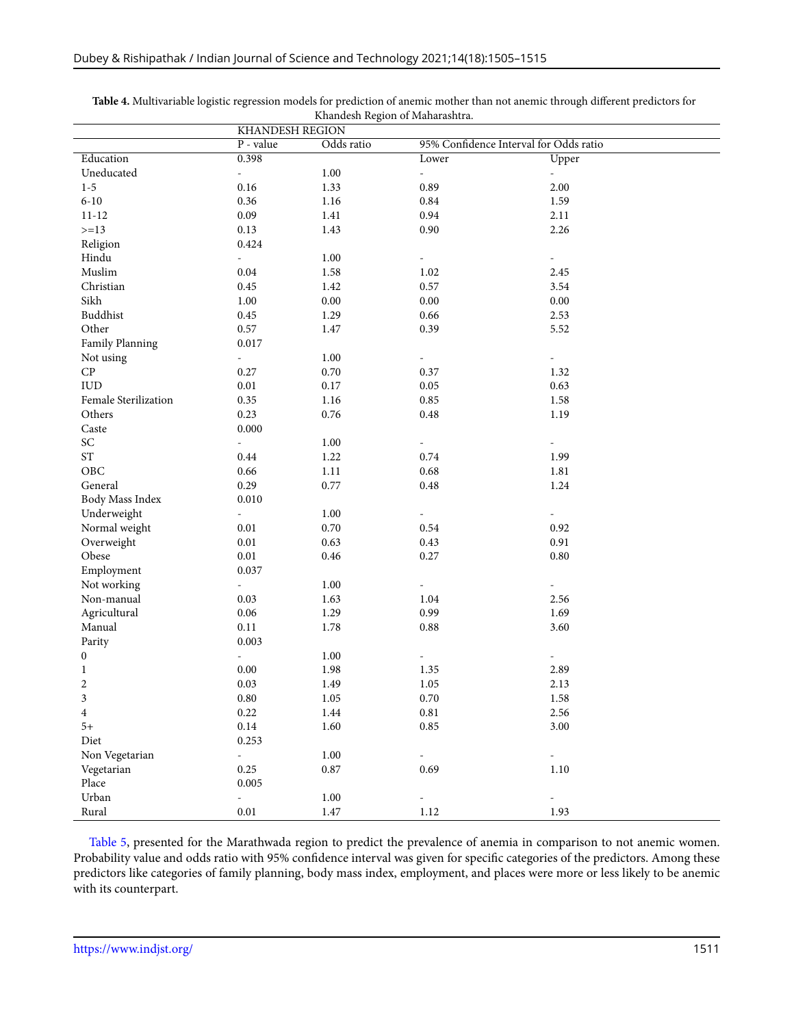|                            | <b>KHANDESH REGION</b>      |            |                                        |                          |
|----------------------------|-----------------------------|------------|----------------------------------------|--------------------------|
|                            | P - value                   | Odds ratio | 95% Confidence Interval for Odds ratio |                          |
| Education                  | 0.398                       |            | Lower                                  | Upper                    |
| Uneducated                 | $\omega$                    | $1.00\,$   | $\overline{\phantom{a}}$               | $\omega$                 |
| $1 - 5$                    | 0.16                        | 1.33       | 0.89                                   | 2.00                     |
| $6 - 10$                   | 0.36                        | 1.16       | $\rm 0.84$                             | 1.59                     |
| $11 - 12$                  | 0.09                        | 1.41       | 0.94                                   | 2.11                     |
| $>=13$                     | 0.13                        | 1.43       | $0.90\,$                               | 2.26                     |
| Religion                   | 0.424                       |            |                                        |                          |
| Hindu                      | $\omega$                    | 1.00       | $\overline{\phantom{0}}$               | $\overline{\phantom{a}}$ |
| Muslim                     | 0.04                        | 1.58       | 1.02                                   | 2.45                     |
| Christian                  | $0.45\,$                    | 1.42       | $0.57\,$                               | 3.54                     |
| Sikh                       | $1.00\,$                    | $0.00\,$   | $0.00\,$                               | 0.00                     |
| Buddhist                   | 0.45                        | 1.29       | 0.66                                   | 2.53                     |
| Other                      | 0.57                        | 1.47       | 0.39                                   | 5.52                     |
| Family Planning            | 0.017                       |            |                                        |                          |
| Not using                  | $\omega$ .                  | 1.00       | $\overline{\phantom{a}}$               | $\overline{\phantom{a}}$ |
| ${\cal CP}$                | 0.27                        | 0.70       | 0.37                                   | 1.32                     |
| ${\rm IUD}$                | 0.01                        | 0.17       | $0.05\,$                               | 0.63                     |
| Female Sterilization       | 0.35                        | 1.16       | $0.85\,$                               | 1.58                     |
| Others                     | 0.23                        | $0.76\,$   | $\rm 0.48$                             | 1.19                     |
| Caste                      | 0.000                       |            |                                        |                          |
| $\ensuremath{\mathsf{SC}}$ | $\sim$                      | 1.00       | $\overline{\phantom{a}}$               | $\overline{\phantom{a}}$ |
| $\operatorname{ST}$        | 0.44                        | 1.22       | 0.74                                   | 1.99                     |
| OBC                        | 0.66                        | $1.11\,$   | $0.68\,$                               | 1.81                     |
| General                    | 0.29                        | 0.77       | $\rm 0.48$                             | 1.24                     |
| Body Mass Index            | 0.010                       |            |                                        |                          |
| Underweight                | $\omega_{\rm c}$            | 1.00       | $\frac{1}{2}$                          | $\overline{\phantom{a}}$ |
| Normal weight              | $0.01\,$                    | $0.70\,$   | $0.54\,$                               | 0.92                     |
| Overweight                 | $0.01\,$                    | 0.63       | $0.43\,$                               | 0.91                     |
| Obese                      | 0.01                        | 0.46       | $0.27\,$                               | 0.80                     |
| Employment                 | 0.037                       |            |                                        |                          |
| Not working                | $\mathcal{L}_{\mathcal{A}}$ | 1.00       | ÷,                                     | $\blacksquare$           |
| Non-manual                 | 0.03                        | 1.63       | 1.04                                   | 2.56                     |
| Agricultural               | $0.06\,$                    | 1.29       | 0.99                                   | 1.69                     |
| Manual                     | 0.11                        | 1.78       | $\rm 0.88$                             | 3.60                     |
| Parity                     | 0.003                       |            |                                        |                          |
| $\boldsymbol{0}$           | $\omega$                    | 1.00       | $\blacksquare$                         | $\overline{\phantom{a}}$ |
| $\mathbf{1}$               | 0.00                        | 1.98       | 1.35                                   | 2.89                     |
| $\overline{c}$             | $0.03\,$                    | 1.49       | 1.05                                   | 2.13                     |
| 3                          | $\rm 0.80$                  | 1.05       | $0.70\,$                               | 1.58                     |
| $\overline{4}$             | 0.22                        | 1.44       | $0.81\,$                               | 2.56                     |
| $5+$                       | $0.14\,$                    | 1.60       | $0.85\,$                               | 3.00                     |
| Diet                       | 0.253                       |            |                                        |                          |
| Non Vegetarian             | $\omega$                    | 1.00       | ÷,                                     | $\blacksquare$           |
| Vegetarian                 | 0.25                        | $0.87\,$   | 0.69                                   | $1.10\,$                 |
| Place                      | 0.005                       |            |                                        |                          |
| Urban                      | $\omega$                    | $1.00\,$   | ÷,                                     |                          |
| Rural                      | $0.01\,$                    | $1.47\,$   | 1.12                                   | 1.93                     |

**Table 4.** Multivariable logistic regression models for prediction of anemic mother than not anemic through different predictors for Khandesh Region of Maharashtra.

<span id="page-6-0"></span>Table [5,](#page-6-0) presented for the Marathwada region to predict the prevalence of anemia in comparison to not anemic women. Probability value and odds ratio with 95% confidence interval was given for specific categories of the predictors. Among these predictors like categories of family planning, body mass index, employment, and places were more or less likely to be anemic with its counterpart.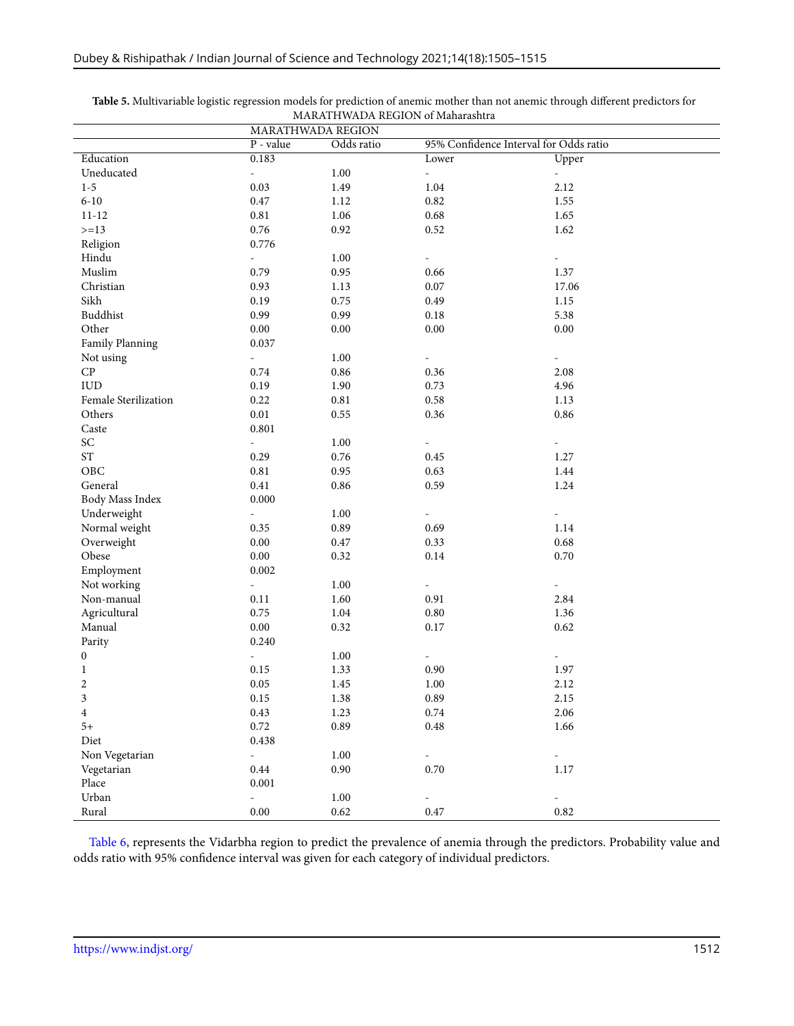|                                     | <b>MARATHWADA REGION</b>  |          |                                        |                          |
|-------------------------------------|---------------------------|----------|----------------------------------------|--------------------------|
|                                     | $P$ - value<br>Odds ratio |          | 95% Confidence Interval for Odds ratio |                          |
| Education                           | 0.183                     |          | Lower                                  | Upper                    |
| Uneducated                          | $\overline{\phantom{a}}$  | $1.00\,$ | $\overline{\phantom{a}}$               | $\omega_{\rm{eff}}$      |
| $1 - 5$                             | 0.03                      | 1.49     | 1.04                                   | 2.12                     |
| $6 - 10$                            | $0.47\,$                  | 1.12     | 0.82                                   | 1.55                     |
| $11 - 12$                           | $\rm 0.81$                | 1.06     | 0.68                                   | 1.65                     |
| $>=13$                              | 0.76                      | 0.92     | $0.52\,$                               | 1.62                     |
| Religion                            | 0.776                     |          |                                        |                          |
| Hindu                               | $\overline{a}$            | 1.00     | $\overline{\phantom{a}}$               | ÷                        |
| Muslim                              | 0.79                      | $0.95\,$ | 0.66                                   | 1.37                     |
| Christian                           | 0.93                      | 1.13     | $0.07\,$                               | 17.06                    |
| Sikh                                | 0.19                      | 0.75     | 0.49                                   | 1.15                     |
| Buddhist                            | 0.99                      | 0.99     | 0.18                                   | 5.38                     |
| Other                               | $0.00\,$                  | $0.00\,$ | $0.00\,$                               | $0.00\,$                 |
| Family Planning                     | 0.037                     |          |                                        |                          |
| Not using                           | $\overline{\phantom{a}}$  | $1.00\,$ | $\overline{\phantom{a}}$               | $\overline{\phantom{a}}$ |
| ${\cal CP}$                         | 0.74                      | 0.86     | 0.36                                   | 2.08                     |
| ${\rm IUD}$                         | 0.19                      | 1.90     | 0.73                                   | 4.96                     |
| Female Sterilization                | 0.22                      | 0.81     | 0.58                                   | 1.13                     |
| Others                              | $0.01\,$                  | 0.55     | 0.36                                   | 0.86                     |
| Caste                               | 0.801                     |          |                                        |                          |
| $\ensuremath{\mathcal{S}}\xspace C$ | $\overline{a}$            | 1.00     |                                        | $\overline{\phantom{a}}$ |
| $\operatorname{ST}$                 | 0.29                      | $0.76\,$ | 0.45                                   | 1.27                     |
| OBC                                 | $\rm 0.81$                | 0.95     | 0.63                                   | 1.44                     |
| General                             | 0.41                      | 0.86     | 0.59                                   | 1.24                     |
| Body Mass Index                     | 0.000                     |          |                                        |                          |
| Underweight                         | $\blacksquare$            | $1.00\,$ | $\overline{\phantom{a}}$               | $\overline{\phantom{a}}$ |
| Normal weight                       | 0.35                      | 0.89     | 0.69                                   | 1.14                     |
| Overweight                          | $0.00\,$                  | $0.47\,$ | 0.33                                   | 0.68                     |
| Obese                               | 0.00                      | 0.32     | $0.14\,$                               | $0.70\,$                 |
| Employment                          | 0.002                     |          |                                        |                          |
| Not working                         | $\overline{\phantom{a}}$  | 1.00     | $\overline{\phantom{a}}$               | $\overline{\phantom{a}}$ |
| Non-manual                          | 0.11                      | 1.60     | 0.91                                   | 2.84                     |
| Agricultural                        | 0.75                      | 1.04     | $0.80\,$                               | 1.36                     |
| Manual                              | $0.00\,$                  | 0.32     | $0.17\,$                               | 0.62                     |
| Parity                              | 0.240                     |          |                                        |                          |
| $\boldsymbol{0}$                    | $\overline{\phantom{a}}$  | $1.00\,$ | $\overline{\phantom{a}}$               | $\overline{\phantom{a}}$ |
| $\mathbf{1}$                        | 0.15                      | 1.33     | 0.90                                   | 1.97                     |
| $\overline{c}$                      | 0.05                      | 1.45     | 1.00                                   | 2.12                     |
| 3                                   | 0.15                      | 1.38     | 0.89                                   | 2.15                     |
| $\overline{4}$                      | 0.43                      | 1.23     | $0.74\,$                               | 2.06                     |
| $5+$                                | 0.72                      | 0.89     | $\rm 0.48$                             | 1.66                     |
| Diet                                | 0.438                     |          |                                        |                          |
| Non Vegetarian                      | $\overline{\phantom{a}}$  | $1.00\,$ | $\overline{\phantom{a}}$               | $\overline{\phantom{a}}$ |
| Vegetarian                          | 0.44                      | 0.90     | 0.70                                   | 1.17                     |
| Place                               | 0.001                     |          |                                        |                          |
| Urban                               | $\frac{1}{2}$             | $1.00\,$ |                                        |                          |
| Rural                               | $0.00\,$                  | 0.62     | $0.47\,$                               | $\rm 0.82$               |

**Table 5.** Multivariable logistic regression models for prediction of anemic mother than not anemic through different predictors for MARATHWADA REGION of Maharashtra

Table [6](#page-8-0), represents the Vidarbha region to predict the prevalence of anemia through the predictors. Probability value and odds ratio with 95% confidence interval was given for each category of individual predictors.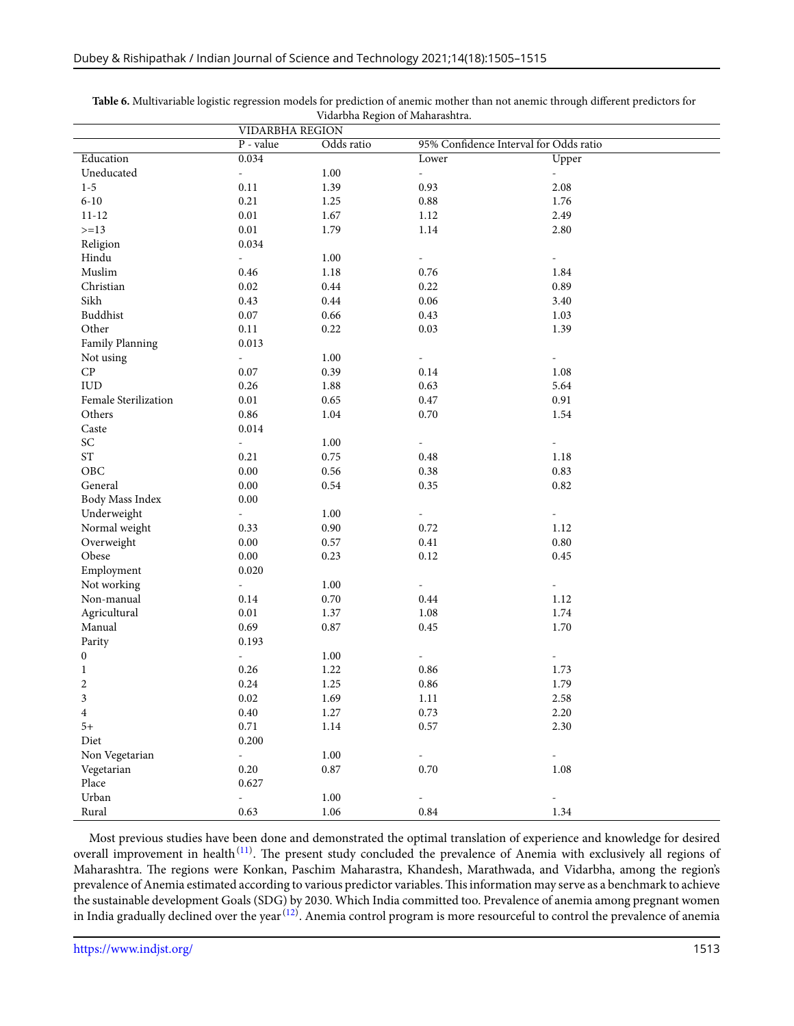|                          | <b>VIDARBHA REGION</b>    |            |                                        |                          |  |
|--------------------------|---------------------------|------------|----------------------------------------|--------------------------|--|
|                          | P - value                 | Odds ratio | 95% Confidence Interval for Odds ratio |                          |  |
| Education                | 0.034                     |            | Lower                                  | Upper                    |  |
| Uneducated               | $\mathbb{L}$              | $1.00\,$   | $\mathcal{L}_{\mathcal{A}}$            | $\omega_{\rm c}$         |  |
| $1 - 5$                  | 0.11                      | 1.39       | 0.93                                   | 2.08                     |  |
| $6 - 10$                 | 0.21                      | 1.25       | $\rm 0.88$                             | 1.76                     |  |
| $11 - 12$                | $0.01\,$                  | 1.67       | 1.12                                   | 2.49                     |  |
| $>=13$                   | $0.01\,$                  | 1.79       | $1.14\,$                               | 2.80                     |  |
| Religion                 | 0.034                     |            |                                        |                          |  |
| Hindu                    | $\overline{\phantom{a}}$  | 1.00       | ÷,                                     | $\overline{\phantom{a}}$ |  |
| Muslim                   | 0.46                      | $1.18\,$   | $0.76\,$                               | 1.84                     |  |
| Christian                | 0.02                      | 0.44       | 0.22                                   | 0.89                     |  |
| Sikh                     | 0.43                      | 0.44       | $0.06\,$                               | 3.40                     |  |
| Buddhist                 | 0.07                      | 0.66       | $0.43\,$                               | 1.03                     |  |
| Other                    | 0.11                      | 0.22       | $0.03\,$                               | 1.39                     |  |
| Family Planning          | 0.013                     |            |                                        |                          |  |
| Not using                | $\overline{\phantom{a}}$  | $1.00\,$   | $\overline{\phantom{a}}$               | $\equiv$                 |  |
| ${\cal CP}$              | 0.07                      | 0.39       | 0.14                                   | 1.08                     |  |
| ${\rm IUD}$              | 0.26                      | 1.88       | 0.63                                   | 5.64                     |  |
| Female Sterilization     | $0.01\,$                  | 0.65       | $0.47\,$                               | 0.91                     |  |
| Others                   | 0.86                      | 1.04       | $0.70\,$                               | 1.54                     |  |
| Caste                    | 0.014                     |            |                                        |                          |  |
| $\ensuremath{\text{SC}}$ | $\mathbb{L}^{\mathbb{N}}$ | 1.00       | $\blacksquare$                         | $\overline{\phantom{a}}$ |  |
| $\operatorname{ST}$      | 0.21                      | 0.75       | 0.48                                   | 1.18                     |  |
| OBC                      | 0.00                      | 0.56       | 0.38                                   | 0.83                     |  |
| General                  | 0.00                      | 0.54       | 0.35                                   | $\rm 0.82$               |  |
| Body Mass Index          | 0.00                      |            |                                        |                          |  |
| Underweight              | $\overline{\phantom{a}}$  | 1.00       | $\overline{\phantom{a}}$               | $\Box$                   |  |
| Normal weight            | 0.33                      | 0.90       | 0.72                                   | 1.12                     |  |
| Overweight               | 0.00                      | 0.57       | $0.41\,$                               | 0.80                     |  |
| Obese                    | 0.00                      | 0.23       | 0.12                                   | 0.45                     |  |
| Employment               | 0.020                     |            |                                        |                          |  |
| Not working              | ÷.                        | 1.00       | $\overline{\phantom{a}}$               | $\omega$                 |  |
| Non-manual               | 0.14                      | $0.70\,$   | 0.44                                   | 1.12                     |  |
| Agricultural             | $0.01\,$                  | 1.37       | $1.08\,$                               | 1.74                     |  |
| Manual                   | 0.69                      | 0.87       | $0.45\,$                               | 1.70                     |  |
| Parity                   | 0.193                     |            |                                        |                          |  |
| $\boldsymbol{0}$         | $\overline{\phantom{a}}$  | $1.00\,$   | $\pm$                                  | $\equiv$                 |  |
| $\mathbf{1}$             | 0.26                      | 1.22       | $\rm 0.86$                             | 1.73                     |  |
| $\boldsymbol{2}$         | 0.24                      | 1.25       | $\rm 0.86$                             | 1.79                     |  |
| 3                        | 0.02                      | 1.69       | 1.11                                   | 2.58                     |  |
| $\overline{4}$           | 0.40                      | 1.27       | 0.73                                   | 2.20                     |  |
| $5+$                     | 0.71                      | 1.14       | 0.57                                   | 2.30                     |  |
| Diet                     | 0.200                     |            |                                        |                          |  |
| Non Vegetarian           | $\overline{\phantom{a}}$  | $1.00\,$   | $\blacksquare$                         | $\frac{1}{2}$            |  |
| Vegetarian               | 0.20                      | $0.87\,$   | $0.70\,$                               | 1.08                     |  |
| Place                    | 0.627                     |            |                                        |                          |  |
| Urban                    | $\overline{a}$            | $1.00\,$   | $\blacksquare$                         |                          |  |
| Rural                    | 0.63                      | $1.06\,$   | $\rm 0.84$                             | 1.34                     |  |

<span id="page-8-0"></span>**Table 6.** Multivariable logistic regression models for prediction of anemic mother than not anemic through different predictors for Vidarbha Region of Maharashtra.

Most previous studies have been done and demonstrated the optimal translation of experience and knowledge for desired overall improvement in health<sup>[\(11](#page-9-10))</sup>. The present study concluded the prevalence of Anemia with exclusively all regions of Maharashtra. The regions were Konkan, Paschim Maharastra, Khandesh, Marathwada, and Vidarbha, among the region's prevalence of Anemia estimated according to various predictor variables.This information may serve as a benchmark to achieve the sustainable development Goals (SDG) by 2030. Which India committed too. Prevalence of anemia among pregnant women in India gradually declined over the year $^{(12)}$  $^{(12)}$  $^{(12)}$ . Anemia control program is more resourceful to control the prevalence of anemia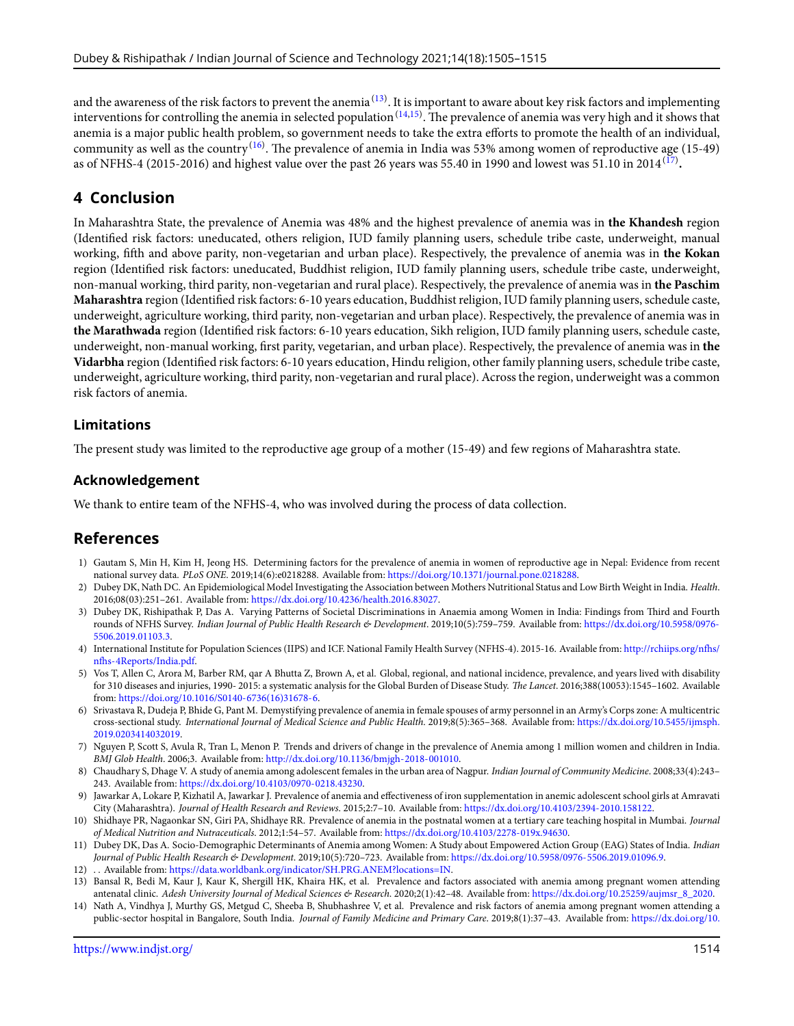and the awareness of the risk factors to prevent the anemia $^{(13)}$  $^{(13)}$  $^{(13)}$ . It is important to aware about key risk factors and implementing interventions for controlling the anemia in selected population  $^{(14,15)}.$  $^{(14,15)}.$  $^{(14,15)}.$  $^{(14,15)}.$  The prevalence of anemia was very high and it shows that anemia is a major public health problem, so government needs to take the extra efforts to promote the health of an individual, community as well as the country<sup>([16\)](#page-10-1)</sup>. The prevalence of anemia in India was 53% among women of reproductive age (15-49) as of NFHS-4 (2015-2016) and highest value over the past 26 years was 55.40 in 1990 and lowest was 51.10 in 2014 $^{\rm (17)}$  $^{\rm (17)}$  $^{\rm (17)}$ .

## **4 Conclusion**

In Maharashtra State, the prevalence of Anemia was 48% and the highest prevalence of anemia was in **the Khandesh** region (Identified risk factors: uneducated, others religion, IUD family planning users, schedule tribe caste, underweight, manual working, fifth and above parity, non-vegetarian and urban place). Respectively, the prevalence of anemia was in **the Kokan** region (Identified risk factors: uneducated, Buddhist religion, IUD family planning users, schedule tribe caste, underweight, non-manual working, third parity, non-vegetarian and rural place). Respectively, the prevalence of anemia was in **the Paschim Maharashtra** region (Identified risk factors: 6-10 years education, Buddhist religion, IUD family planning users, schedule caste, underweight, agriculture working, third parity, non-vegetarian and urban place). Respectively, the prevalence of anemia was in **the Marathwada** region (Identified risk factors: 6-10 years education, Sikh religion, IUD family planning users, schedule caste, underweight, non-manual working, first parity, vegetarian, and urban place). Respectively, the prevalence of anemia was in **the Vidarbha** region (Identified risk factors: 6-10 years education, Hindu religion, other family planning users, schedule tribe caste, underweight, agriculture working, third parity, non-vegetarian and rural place). Across the region, underweight was a common risk factors of anemia.

#### **Limitations**

The present study was limited to the reproductive age group of a mother (15-49) and few regions of Maharashtra state.

#### **Acknowledgement**

We thank to entire team of the NFHS-4, who was involved during the process of data collection.

## **References**

- <span id="page-9-0"></span>1) Gautam S, Min H, Kim H, Jeong HS. Determining factors for the prevalence of anemia in women of reproductive age in Nepal: Evidence from recent national survey data. *PLoS ONE*. 2019;14(6):e0218288. Available from: [https://doi.org/10.1371/journal.pone.0218288.](https://doi.org/10.1371/journal.pone.0218288)
- <span id="page-9-1"></span>2) Dubey DK, Nath DC. An Epidemiological Model Investigating the Association between Mothers Nutritional Status and Low Birth Weight in India. *Health*. 2016;08(03):251–261. Available from: [https://dx.doi.org/10.4236/health.2016.83027.](https://dx.doi.org/10.4236/health.2016.83027)
- <span id="page-9-2"></span>3) Dubey DK, Rishipathak P, Das A. Varying Patterns of Societal Discriminations in Anaemia among Women in India: Findings from Third and Fourth rounds of NFHS Survey. *Indian Journal of Public Health Research & Development*. 2019;10(5):759–759. Available from: [https://dx.doi.org/10.5958/0976-](https://dx.doi.org/10.5958/0976-5506.2019.01103.3) [5506.2019.01103.3](https://dx.doi.org/10.5958/0976-5506.2019.01103.3).
- <span id="page-9-3"></span>4) International Institute for Population Sciences (IIPS) and ICF. National Family Health Survey (NFHS-4). 2015-16. Available from: [http://rchiips.org/nfhs/](http://rchiips.org/nfhs/nfhs-4Reports/India.pdf) [nfhs-4Reports/India.pdf](http://rchiips.org/nfhs/nfhs-4Reports/India.pdf).
- <span id="page-9-4"></span>5) Vos T, Allen C, Arora M, Barber RM, qar A Bhutta Z, Brown A, et al. Global, regional, and national incidence, prevalence, and years lived with disability for 310 diseases and injuries, 1990- 2015: a systematic analysis for the Global Burden of Disease Study. *The Lancet*. 2016;388(10053):1545–1602. Available from: [https://doi.org/10.1016/S0140-6736\(16\)31678-6](https://doi.org/10.1016/S0140-6736(16)31678-6).
- <span id="page-9-5"></span>6) Srivastava R, Dudeja P, Bhide G, Pant M. Demystifying prevalence of anemia in female spouses of army personnel in an Army's Corps zone: A multicentric cross-sectional study. *International Journal of Medical Science and Public Health*. 2019;8(5):365–368. Available from: [https://dx.doi.org/10.5455/ijmsph.](https://dx.doi.org/10.5455/ijmsph.2019.0203414032019) [2019.0203414032019.](https://dx.doi.org/10.5455/ijmsph.2019.0203414032019)
- <span id="page-9-6"></span>7) Nguyen P, Scott S, Avula R, Tran L, Menon P. Trends and drivers of change in the prevalence of Anemia among 1 million women and children in India. *BMJ Glob Health*. 2006;3. Available from: [http://dx.doi.org/10.1136/bmjgh-2018-001010.](http://dx.doi.org/10.1136/bmjgh-2018-001010)
- <span id="page-9-7"></span>8) Chaudhary S, Dhage V. A study of anemia among adolescent females in the urban area of Nagpur. *Indian Journal of Community Medicine*. 2008;33(4):243– 243. Available from: <https://dx.doi.org/10.4103/0970-0218.43230>.
- <span id="page-9-8"></span>9) Jawarkar A, Lokare P, Kizhatil A, Jawarkar J. Prevalence of anemia and effectiveness of iron supplementation in anemic adolescent school girls at Amravati City (Maharashtra). *Journal of Health Research and Reviews*. 2015;2:7–10. Available from: [https://dx.doi.org/10.4103/2394-2010.158122.](https://dx.doi.org/10.4103/2394-2010.158122)
- <span id="page-9-9"></span>10) Shidhaye PR, Nagaonkar SN, Giri PA, Shidhaye RR. Prevalence of anemia in the postnatal women at a tertiary care teaching hospital in Mumbai. *Journal of Medical Nutrition and Nutraceuticals*. 2012;1:54–57. Available from: [https://dx.doi.org/10.4103/2278-019x.94630.](https://dx.doi.org/10.4103/2278-019x.94630)
- <span id="page-9-10"></span>11) Dubey DK, Das A. Socio-Demographic Determinants of Anemia among Women: A Study about Empowered Action Group (EAG) States of India. *Indian Journal of Public Health Research & Development*. 2019;10(5):720–723. Available from: [https://dx.doi.org/10.5958/0976-5506.2019.01096.9.](https://dx.doi.org/10.5958/0976-5506.2019.01096.9)
- <span id="page-9-11"></span>12) . . Available from: [https://data.worldbank.org/indicator/SH.PRG.ANEM?locations=IN.](https://data.worldbank.org/indicator/SH.PRG.ANEM?locations=IN)
- <span id="page-9-12"></span>13) Bansal R, Bedi M, Kaur J, Kaur K, Shergill HK, Khaira HK, et al. Prevalence and factors associated with anemia among pregnant women attending antenatal clinic. *Adesh University Journal of Medical Sciences & Research*. 2020;2(1):42–48. Available from: [https://dx.doi.org/10.25259/aujmsr\\_8\\_2020.](https://dx.doi.org/10.25259/aujmsr_8_2020)
- <span id="page-9-13"></span>14) Nath A, Vindhya J, Murthy GS, Metgud C, Sheeba B, Shubhashree V, et al. Prevalence and risk factors of anemia among pregnant women attending a public-sector hospital in Bangalore, South India. *Journal of Family Medicine and Primary Care*. 2019;8(1):37–43. Available from: [https://dx.doi.org/10.](https://dx.doi.org/10.4103/jfmpc.jfmpc_265_18)